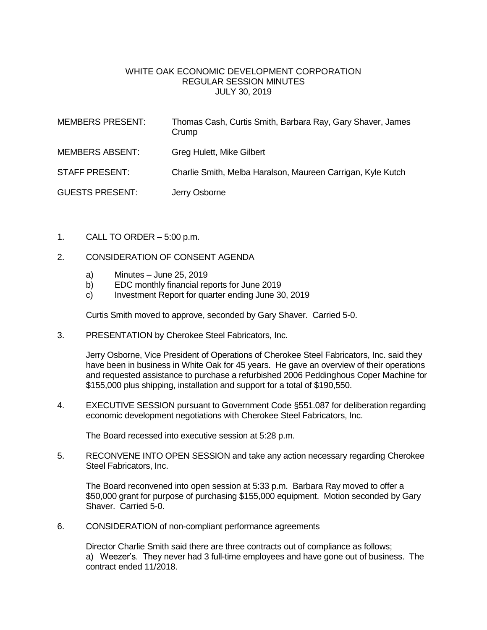## WHITE OAK ECONOMIC DEVELOPMENT CORPORATION REGULAR SESSION MINUTES JULY 30, 2019

| <b>MEMBERS PRESENT:</b> | Thomas Cash, Curtis Smith, Barbara Ray, Gary Shaver, James<br>Crump |
|-------------------------|---------------------------------------------------------------------|
| <b>MEMBERS ABSENT:</b>  | Greg Hulett, Mike Gilbert                                           |
| <b>STAFF PRESENT:</b>   | Charlie Smith, Melba Haralson, Maureen Carrigan, Kyle Kutch         |
| <b>GUESTS PRESENT:</b>  | Jerry Osborne                                                       |

- 1. CALL TO ORDER 5:00 p.m.
- 2. CONSIDERATION OF CONSENT AGENDA
	- a) Minutes June 25, 2019
	- b) EDC monthly financial reports for June 2019
	- c) Investment Report for quarter ending June 30, 2019

Curtis Smith moved to approve, seconded by Gary Shaver. Carried 5-0.

3. PRESENTATION by Cherokee Steel Fabricators, Inc.

Jerry Osborne, Vice President of Operations of Cherokee Steel Fabricators, Inc. said they have been in business in White Oak for 45 years. He gave an overview of their operations and requested assistance to purchase a refurbished 2006 Peddinghous Coper Machine for \$155,000 plus shipping, installation and support for a total of \$190,550.

4. EXECUTIVE SESSION pursuant to Government Code §551.087 for deliberation regarding economic development negotiations with Cherokee Steel Fabricators, Inc.

The Board recessed into executive session at 5:28 p.m.

5. RECONVENE INTO OPEN SESSION and take any action necessary regarding Cherokee Steel Fabricators, Inc.

The Board reconvened into open session at 5:33 p.m. Barbara Ray moved to offer a \$50,000 grant for purpose of purchasing \$155,000 equipment. Motion seconded by Gary Shaver. Carried 5-0.

6. CONSIDERATION of non-compliant performance agreements

Director Charlie Smith said there are three contracts out of compliance as follows; a) Weezer's. They never had 3 full-time employees and have gone out of business. The contract ended 11/2018.